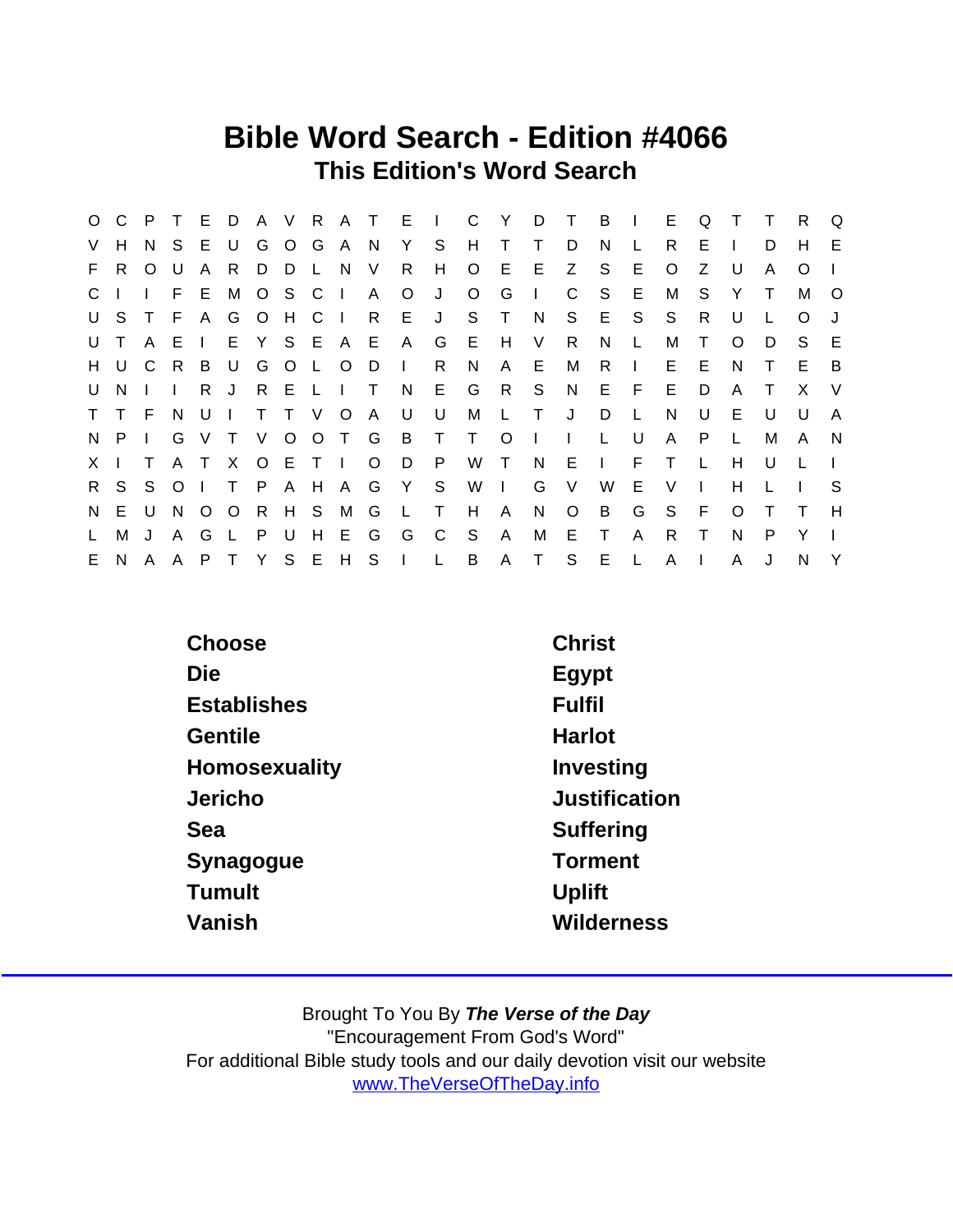## Bible Word Search - Edition #4066 This Edition's Word Search

|              |         |              |              |                |                |      |     |           |               |                     |              | O C P T E D A V R A T E I C Y D T B I E |                |                |              |        |              |         | Q            | $\top$       | $\top$ | R        | Q        |
|--------------|---------|--------------|--------------|----------------|----------------|------|-----|-----------|---------------|---------------------|--------------|-----------------------------------------|----------------|----------------|--------------|--------|--------------|---------|--------------|--------------|--------|----------|----------|
|              | V H     | N.           | S.           |                | E U            |      |     | G O G A N |               | Y S                 |              | H                                       | $\top$         | $\top$         | D            | N.     | L            | R       | E.           |              | D      | H        | E        |
|              | F R     | $O$ U        |              | $\mathsf{A}$   | R              | D D  | L N |           | $\vee$        | $\mathsf{R}$        | H            | $\circ$                                 | E              | E              | Z            | S.     | E            | $\circ$ | Z            | U            | A      | $\Omega$ |          |
| $C \perp$    |         | $\mathbf{L}$ |              |                | F E M O S C I  |      |     |           | A             | $\circ$             | J            | $\circ$                                 | G              | $\mathbf{I}$   | C.           | S.     | E.           | М       | S.           | Y            | $\top$ | M        | $\Omega$ |
|              | USTF    |              |              |                | A G O H C I    |      |     |           |               | R E J               |              | S —                                     | $\top$         | N              |              | S E    | -S           | S.      | R.           | U            |        | $\Omega$ |          |
| U T          |         | A E          |              | $\mathbf{I}$   |                |      |     |           | E Y S E A E A |                     | G            | E.                                      | H V            |                | R            | N.     | L            | М       | $\mathsf{T}$ | $\circ$      | D      | S.       | E        |
|              | H U C R |              |              | $\overline{B}$ | U              |      |     | G O L O D |               | $\mathbf{1}$        | R            | N                                       |                | A E            | М            | R.     | $\mathbf{L}$ | E.      | E.           | N.           | T.     | E.       | B        |
|              | U N     |              | $\Box$       | R J            |                | RELI |     |           | $\top$        | N E                 |              | G                                       | R S            |                |              | N E F  |              | E.      | D            | A            |        | X        | V        |
|              | T T F   |              | N            | - U            | $\blacksquare$ |      |     | T T V O A |               | U                   | U            | М                                       | $\mathsf{L}$   | $\mathsf{T}$   | J            | D      | L.           | N       | U            | E.           | U      | U        | A        |
|              | $N$ P I |              |              |                |                |      |     |           |               | G V T V O O T G B T |              | $\top$                                  | O              | $\blacksquare$ | $\mathbf{L}$ | L.     | U            | A       | P            | $\mathsf{L}$ | M      | A        | N        |
| $X \perp$    |         | T.           |              |                | A T X          | OETI |     |           |               | O D P               |              | W T                                     |                | N              | $E \cup$     |        | F.           | $\top$  | $\mathsf{L}$ | H            | U      |          |          |
|              | R S S O |              |              | $\sim 1$       |                |      |     |           |               | T P A H A G Y S     |              |                                         | W <sub>1</sub> | G              | V            | W      | E            | V       | $\mathbf{I}$ | H.           |        |          | -S       |
| N,           | E       | U            | N            |                | O O R H S M G  |      |     |           |               | L T                 |              | H                                       | $\mathsf{A}$   | N              | $\circ$      | B      | G            | S.      | -F.          | $\circ$      | $\top$ | $\top$   | H        |
| $\mathsf{L}$ | M       | $\mathbf{J}$ | $\mathsf{A}$ | G              | $\perp$        | P U  |     | H E G     |               | G                   | $\mathbf{C}$ | S S                                     | $\mathsf{A}$   | M              | E            | $\top$ | $\mathsf{A}$ | R.      | $\top$       | N            | P      | Y        |          |
|              | E N A A |              |              |                |                |      |     |           |               | PTYSEHSIL           |              | B A T                                   |                |                |              | S E L  |              | A       | $\mathbf{I}$ | A            |        | N.       | Y        |

| Choose             | <b>Christ</b>  |
|--------------------|----------------|
| Die                | Egypt          |
| <b>Establishes</b> | <b>Fulfil</b>  |
| Gentile            | Harlot         |
| Homosexuality      | Investing      |
| Jericho            | Justification  |
| Sea                | Suffering      |
| Synagogue          | <b>Torment</b> |
| Tumult             | Uplift         |
| Vanish             | Wilderness     |
|                    |                |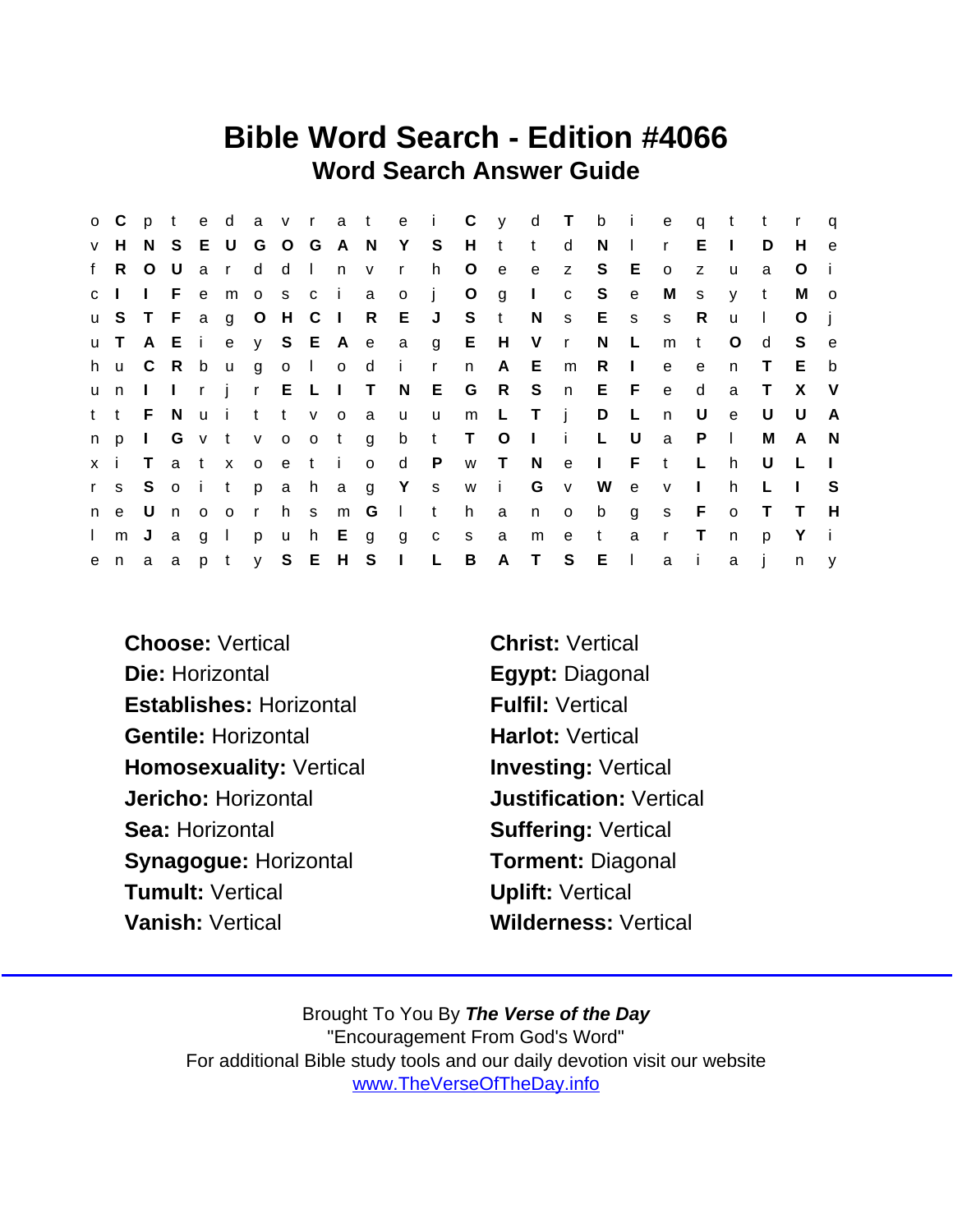## Bible Word Search - Edition #4066 Word Search Answer Guide

|              | $O$ C | $\mathsf{p}$    |       |              |                   |          |      |           |                         |                           |              |                   |                | te davrate i Cyd Tbie             |              |          |          |              | $\mathbf{q}$   | $-t$         | $-t$   |                | $\mathsf{q}$            |
|--------------|-------|-----------------|-------|--------------|-------------------|----------|------|-----------|-------------------------|---------------------------|--------------|-------------------|----------------|-----------------------------------|--------------|----------|----------|--------------|----------------|--------------|--------|----------------|-------------------------|
|              | v H   |                 |       |              |                   |          |      |           |                         | N S E U G O G A N Y S     |              | $H$ t             |                | $-t$                              | d            | $N \mid$ |          | $\mathsf{r}$ | E.             | $\Box$       | D      | H              | e                       |
| f            | R     | $\circ$         | U     |              | a r               | d        |      | d I n v   |                         | $\mathbf{r}$              | h            | $\overline{O}$    | $-e$           | e                                 | $\mathsf{Z}$ | S.       | E        | $\circ$      | Z              | <b>u</b>     | a      | O              |                         |
| c I          |       | <b>Contract</b> | F e   |              |                   |          |      |           | moscia o                |                           | $\mathbf{j}$ | $\circ$           | $\overline{g}$ | $\sim 1$ .                        | $\mathbf{C}$ | S.       | e        | M            | S              | y            | t      | М              | $\overline{\mathbf{0}}$ |
|              |       |                 |       |              |                   |          |      |           |                         | u S T F a g O H C I R E J |              | S t               |                | N                                 |              | s E s    |          | $\mathbf{s}$ | -R             | u            | $\Box$ | O              |                         |
|              | u T   |                 |       |              |                   |          |      |           |                         |                           |              |                   |                | A E i e y S E A e a g E H V r     |              | N.       | <b>L</b> | m            | $-t$           | O            | d      | S.             | e e                     |
|              | h u C |                 | R     | $\mathsf{b}$ |                   |          |      |           | ugolo di                |                           | $\mathbf{r}$ | n                 |                | A E m                             |              | R        | $\Box$   | e            | $\mathbf{e}$   | n.           | T.     | E.             | b                       |
|              | u n   |                 |       |              |                   |          |      |           |                         |                           |              |                   |                | I I r j r E L I T N E G R S n E F |              |          |          | $\mathbf{e}$ | d              | a            | $\top$ | X              | - V                     |
|              | t t   | - F             | - N   |              | uittvoa           |          |      |           |                         | <b>u</b>                  | $\mathsf{u}$ | m L               |                | $\mathsf{T}$ i                    |              | D L      |          | $\mathsf{n}$ | U              | $\mathsf{e}$ | U      | U              | A                       |
|              | n p   |                 |       |              | I G v t v o o t g |          |      |           |                         | $\mathsf b$               | t            | $\top$            | $\circ$        | $\mathbf{1}$ i $\mathbf{L}$       |              |          | U        | a            | - P            | $\Box$       | M      | - A            | - N                     |
| x i          |       | $\top$          |       | a t x        |                   |          | oeti |           | $\overline{\mathbf{O}}$ | d P                       |              | w T N             |                |                                   | e l          |          | F.       | $-t$         | $\mathsf{L}$   | h            | U      | $\mathsf{L}$   |                         |
|              |       |                 |       |              |                   |          |      |           |                         |                           |              | rs Soitpahag Yswi |                |                                   | G v          |          | W e v    |              | $\mathbb{R}^n$ | h.           | L      | $\blacksquare$ | -S                      |
|              | n e   | - U             | n o o |              |                   |          |      | r h s m G |                         | $\Box$ t                  |              | h                 | a              | n                                 |              |          |          | o b g s F    |                | $\circ$      | $\top$ | $\top$         | H                       |
| $\mathbf{L}$ | m J   |                 | a     | g I          |                   | <b>p</b> |      |           | uh Egg                  |                           | $C$ S        |                   | a              |                                   | m e          | $-t$     | a        | $\mathsf{r}$ | $\top$         | n            | p      | Y              | - i                     |
|              |       |                 |       |              |                   |          |      |           |                         | enaapty SEHSIL            |              | $\overline{B}$    |                | A T S E I                         |              |          |          | a i          |                | a            |        | $n \quad y$    |                         |

Choose: Vertical Christ: Vertical Die: Horizontal Egypt: Diagonal Establishes: Horizontal Fulfil: Vertical Gentile: Horizontal **Harlot: Vertical** Homosexuality: Vertical Investing: Vertical Jericho: Horizontal Justification: Vertical Sea: Horizontal Sea: Suffering: Vertical Synagogue: Horizontal Torment: Diagonal Tumult: Vertical **Tumult: Vertical** Vanish: Vertical Wilderness: Vertical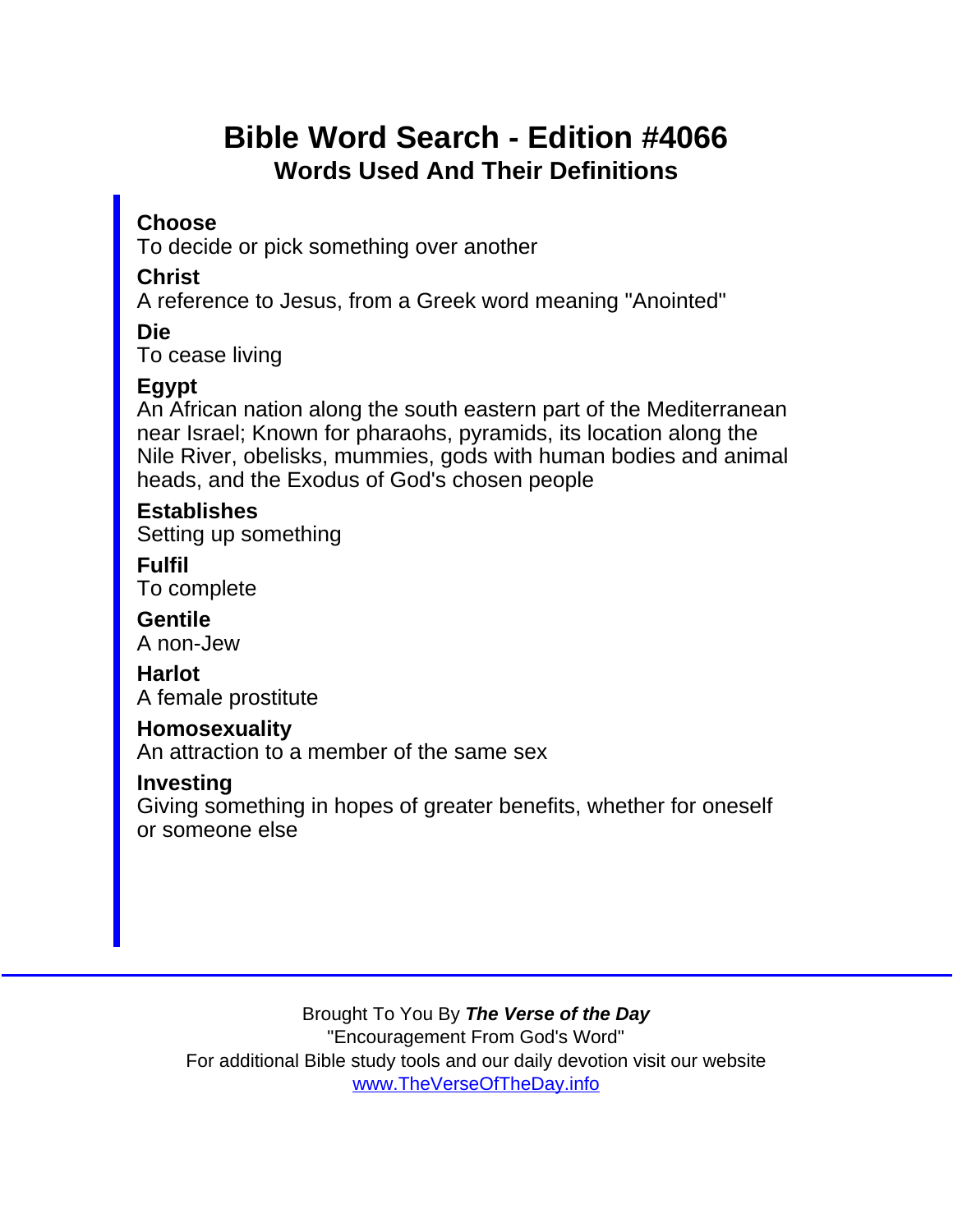## Bible Word Search - Edition #4066 Words Used And Their Definitions

**Choose** 

To decide or pick something over another

**Christ** 

A reference to Jesus, from a Greek word meaning "Anointed"

Die

To cease living

Egypt

An African nation along the south eastern part of the Mediterranean near Israel; Known for pharaohs, pyramids, its location along the Nile River, obelisks, mummies, gods with human bodies and animal heads, and the Exodus of God's chosen people

**Establishes** Setting up something

Fulfil To complete

**Gentile** A non-Jew

Harlot A female prostitute

**Homosexuality** 

An attraction to a member of the same sex

Investing

Giving something in hopes of greater benefits, whether for oneself or someone else